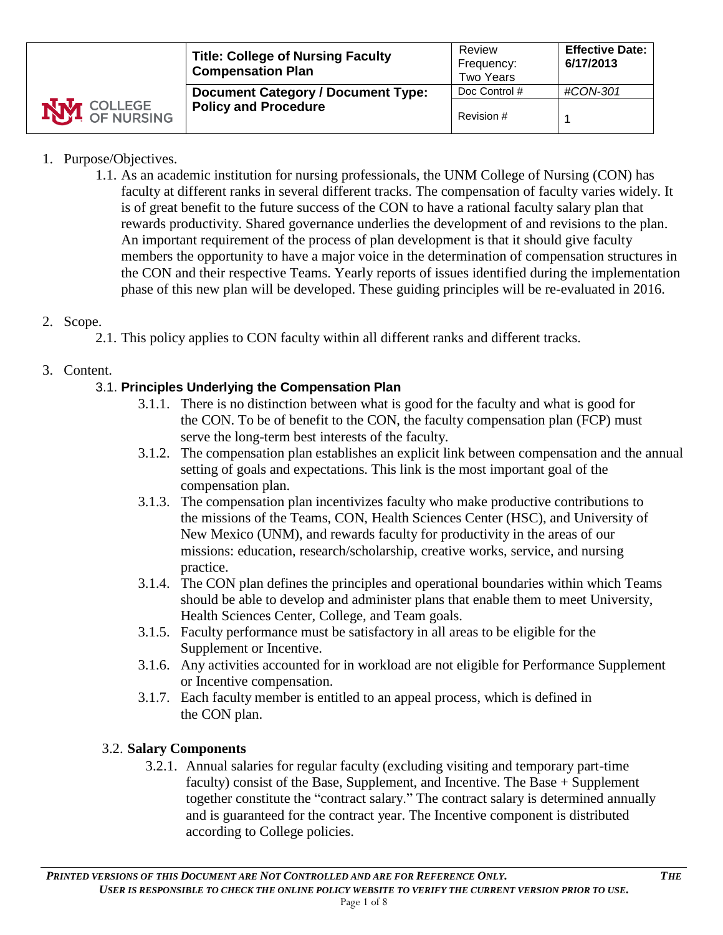|                    | <b>Title: College of Nursing Faculty</b><br><b>Compensation Plan</b>     | Review<br>Frequency:<br><b>Two Years</b> | <b>Effective Date:</b><br>6/17/2013 |
|--------------------|--------------------------------------------------------------------------|------------------------------------------|-------------------------------------|
| <b>NVI</b> COLLEGE | <b>Document Category / Document Type:</b><br><b>Policy and Procedure</b> | Doc Control #                            | #CON-301                            |
|                    |                                                                          | Revision #                               |                                     |

### 1. Purpose/Objectives.

1.1. As an academic institution for nursing professionals, the UNM College of Nursing (CON) has faculty at different ranks in several different tracks. The compensation of faculty varies widely. It is of great benefit to the future success of the CON to have a rational faculty salary plan that rewards productivity. Shared governance underlies the development of and revisions to the plan. An important requirement of the process of plan development is that it should give faculty members the opportunity to have a major voice in the determination of compensation structures in the CON and their respective Teams. Yearly reports of issues identified during the implementation phase of this new plan will be developed. These guiding principles will be re-evaluated in 2016.

### 2. Scope.

2.1. This policy applies to CON faculty within all different ranks and different tracks.

### 3. Content.

# 3.1. **Principles Underlying the Compensation Plan**

- 3.1.1. There is no distinction between what is good for the faculty and what is good for the CON. To be of benefit to the CON, the faculty compensation plan (FCP) must serve the long-term best interests of the faculty.
- 3.1.2. The compensation plan establishes an explicit link between compensation and the annual setting of goals and expectations. This link is the most important goal of the compensation plan.
- 3.1.3. The compensation plan incentivizes faculty who make productive contributions to the missions of the Teams, CON, Health Sciences Center (HSC), and University of New Mexico (UNM), and rewards faculty for productivity in the areas of our missions: education, research/scholarship, creative works, service, and nursing practice.
- 3.1.4. The CON plan defines the principles and operational boundaries within which Teams should be able to develop and administer plans that enable them to meet University, Health Sciences Center, College, and Team goals.
- 3.1.5. Faculty performance must be satisfactory in all areas to be eligible for the Supplement or Incentive.
- 3.1.6. Any activities accounted for in workload are not eligible for Performance Supplement or Incentive compensation.
- 3.1.7. Each faculty member is entitled to an appeal process, which is defined in the CON plan.

### 3.2. **Salary Components**

3.2.1. Annual salaries for regular faculty (excluding visiting and temporary part-time faculty) consist of the Base, Supplement, and Incentive. The Base + Supplement together constitute the "contract salary." The contract salary is determined annually and is guaranteed for the contract year. The Incentive component is distributed according to College policies.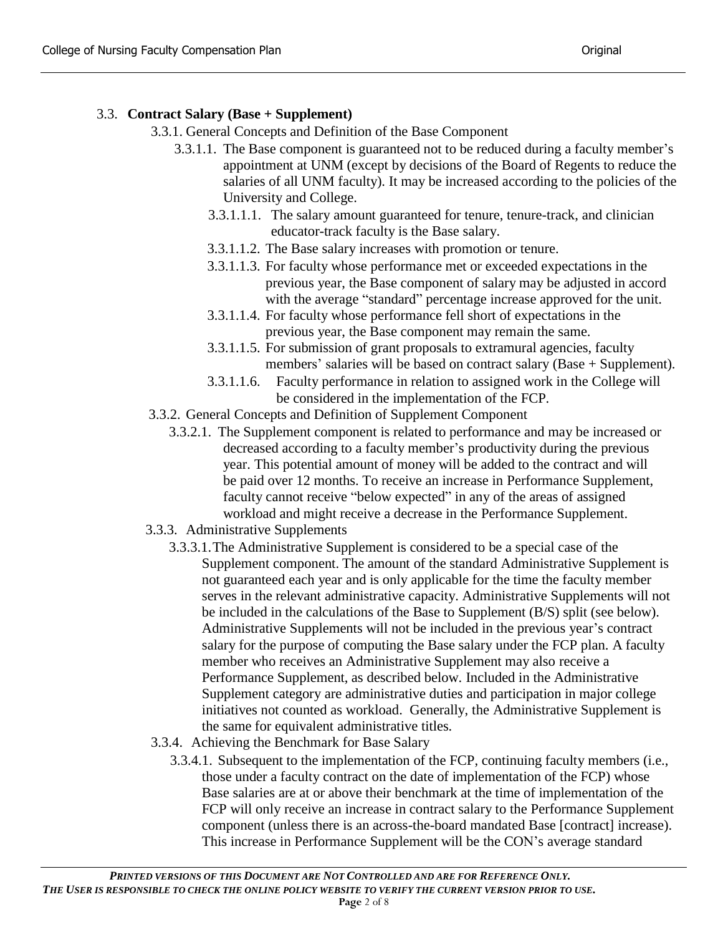# 3.3. **Contract Salary (Base + Supplement)**

- 3.3.1. General Concepts and Definition of the Base Component
	- 3.3.1.1. The Base component is guaranteed not to be reduced during a faculty member's appointment at UNM (except by decisions of the Board of Regents to reduce the salaries of all UNM faculty). It may be increased according to the policies of the University and College.
		- 3.3.1.1.1. The salary amount guaranteed for tenure, tenure-track, and clinician educator-track faculty is the Base salary.
		- 3.3.1.1.2. The Base salary increases with promotion or tenure.
		- 3.3.1.1.3. For faculty whose performance met or exceeded expectations in the previous year, the Base component of salary may be adjusted in accord with the average "standard" percentage increase approved for the unit.
		- 3.3.1.1.4. For faculty whose performance fell short of expectations in the previous year, the Base component may remain the same.
		- 3.3.1.1.5. For submission of grant proposals to extramural agencies, faculty members' salaries will be based on contract salary (Base + Supplement).
		- 3.3.1.1.6. Faculty performance in relation to assigned work in the College will be considered in the implementation of the FCP.
- 3.3.2. General Concepts and Definition of Supplement Component
	- 3.3.2.1. The Supplement component is related to performance and may be increased or decreased according to a faculty member's productivity during the previous year. This potential amount of money will be added to the contract and will be paid over 12 months. To receive an increase in Performance Supplement, faculty cannot receive "below expected" in any of the areas of assigned workload and might receive a decrease in the Performance Supplement.
- 3.3.3. Administrative Supplements
	- 3.3.3.1.The Administrative Supplement is considered to be a special case of the Supplement component. The amount of the standard Administrative Supplement is not guaranteed each year and is only applicable for the time the faculty member serves in the relevant administrative capacity. Administrative Supplements will not be included in the calculations of the Base to Supplement (B/S) split (see below). Administrative Supplements will not be included in the previous year's contract salary for the purpose of computing the Base salary under the FCP plan. A faculty member who receives an Administrative Supplement may also receive a Performance Supplement, as described below. Included in the Administrative Supplement category are administrative duties and participation in major college initiatives not counted as workload. Generally, the Administrative Supplement is the same for equivalent administrative titles.
- 3.3.4. Achieving the Benchmark for Base Salary
	- 3.3.4.1. Subsequent to the implementation of the FCP, continuing faculty members (i.e., those under a faculty contract on the date of implementation of the FCP) whose Base salaries are at or above their benchmark at the time of implementation of the FCP will only receive an increase in contract salary to the Performance Supplement component (unless there is an across-the-board mandated Base [contract] increase). This increase in Performance Supplement will be the CON's average standard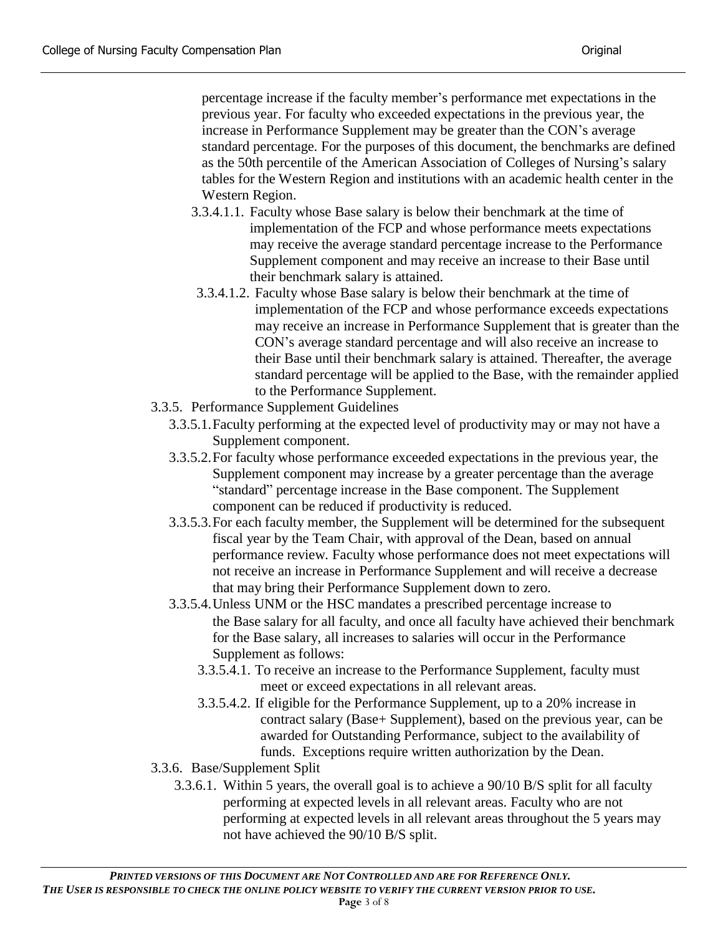percentage increase if the faculty member's performance met expectations in the previous year. For faculty who exceeded expectations in the previous year, the increase in Performance Supplement may be greater than the CON's average standard percentage. For the purposes of this document, the benchmarks are defined as the 50th percentile of the American Association of Colleges of Nursing's salary tables for the Western Region and institutions with an academic health center in the Western Region.

- 3.3.4.1.1. Faculty whose Base salary is below their benchmark at the time of implementation of the FCP and whose performance meets expectations may receive the average standard percentage increase to the Performance Supplement component and may receive an increase to their Base until their benchmark salary is attained.
- 3.3.4.1.2. Faculty whose Base salary is below their benchmark at the time of implementation of the FCP and whose performance exceeds expectations may receive an increase in Performance Supplement that is greater than the CON's average standard percentage and will also receive an increase to their Base until their benchmark salary is attained. Thereafter, the average standard percentage will be applied to the Base, with the remainder applied to the Performance Supplement.
- 3.3.5. Performance Supplement Guidelines
	- 3.3.5.1.Faculty performing at the expected level of productivity may or may not have a Supplement component.
	- 3.3.5.2.For faculty whose performance exceeded expectations in the previous year, the Supplement component may increase by a greater percentage than the average "standard" percentage increase in the Base component. The Supplement component can be reduced if productivity is reduced.
	- 3.3.5.3.For each faculty member, the Supplement will be determined for the subsequent fiscal year by the Team Chair, with approval of the Dean, based on annual performance review. Faculty whose performance does not meet expectations will not receive an increase in Performance Supplement and will receive a decrease that may bring their Performance Supplement down to zero.
	- 3.3.5.4.Unless UNM or the HSC mandates a prescribed percentage increase to the Base salary for all faculty, and once all faculty have achieved their benchmark for the Base salary, all increases to salaries will occur in the Performance Supplement as follows:
		- 3.3.5.4.1. To receive an increase to the Performance Supplement, faculty must meet or exceed expectations in all relevant areas.
		- 3.3.5.4.2. If eligible for the Performance Supplement, up to a 20% increase in contract salary (Base+ Supplement), based on the previous year, can be awarded for Outstanding Performance, subject to the availability of funds. Exceptions require written authorization by the Dean.
- 3.3.6. Base/Supplement Split
	- 3.3.6.1. Within 5 years, the overall goal is to achieve a 90/10 B/S split for all faculty performing at expected levels in all relevant areas. Faculty who are not performing at expected levels in all relevant areas throughout the 5 years may not have achieved the 90/10 B/S split.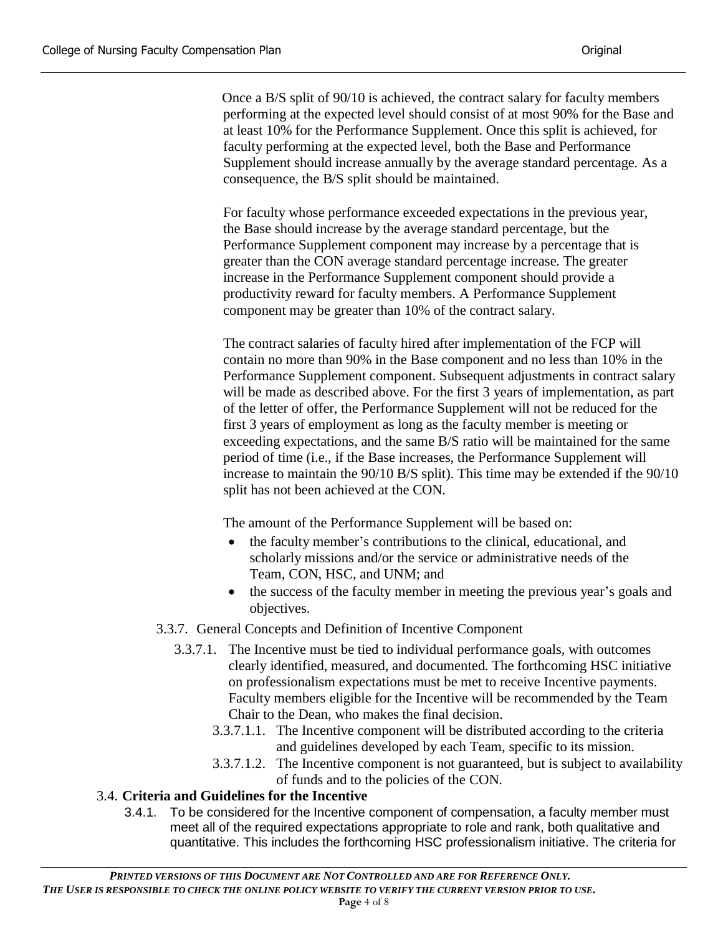Once a B/S split of 90/10 is achieved, the contract salary for faculty members performing at the expected level should consist of at most 90% for the Base and at least 10% for the Performance Supplement. Once this split is achieved, for faculty performing at the expected level, both the Base and Performance Supplement should increase annually by the average standard percentage. As a consequence, the B/S split should be maintained.

For faculty whose performance exceeded expectations in the previous year, the Base should increase by the average standard percentage, but the Performance Supplement component may increase by a percentage that is greater than the CON average standard percentage increase. The greater increase in the Performance Supplement component should provide a productivity reward for faculty members. A Performance Supplement component may be greater than 10% of the contract salary.

The contract salaries of faculty hired after implementation of the FCP will contain no more than 90% in the Base component and no less than 10% in the Performance Supplement component. Subsequent adjustments in contract salary will be made as described above. For the first 3 years of implementation, as part of the letter of offer, the Performance Supplement will not be reduced for the first 3 years of employment as long as the faculty member is meeting or exceeding expectations, and the same B/S ratio will be maintained for the same period of time (i.e., if the Base increases, the Performance Supplement will increase to maintain the 90/10 B/S split). This time may be extended if the 90/10 split has not been achieved at the CON.

The amount of the Performance Supplement will be based on:

- the faculty member's contributions to the clinical, educational, and scholarly missions and/or the service or administrative needs of the Team, CON, HSC, and UNM; and
- the success of the faculty member in meeting the previous year's goals and objectives.

### 3.3.7. General Concepts and Definition of Incentive Component

- 3.3.7.1. The Incentive must be tied to individual performance goals, with outcomes clearly identified, measured, and documented. The forthcoming HSC initiative on professionalism expectations must be met to receive Incentive payments. Faculty members eligible for the Incentive will be recommended by the Team Chair to the Dean, who makes the final decision.
	- 3.3.7.1.1. The Incentive component will be distributed according to the criteria and guidelines developed by each Team, specific to its mission.
	- 3.3.7.1.2. The Incentive component is not guaranteed, but is subject to availability of funds and to the policies of the CON.

# 3.4. **Criteria and Guidelines for the Incentive**

3.4.1. To be considered for the Incentive component of compensation, a faculty member must meet all of the required expectations appropriate to role and rank, both qualitative and quantitative. This includes the forthcoming HSC professionalism initiative. The criteria for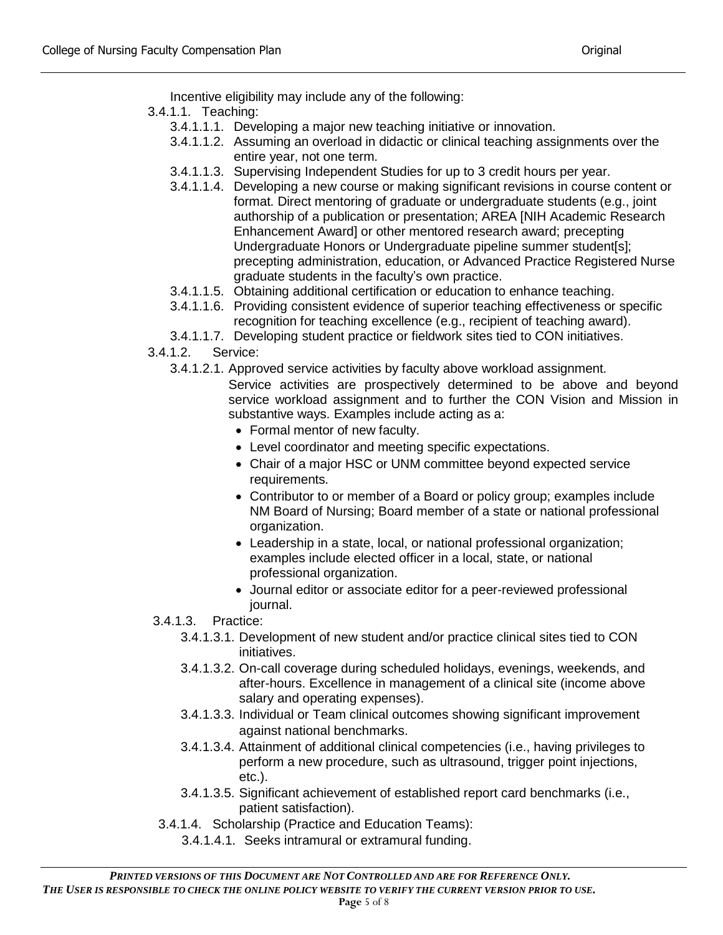Incentive eligibility may include any of the following:

- 3.4.1.1. Teaching:
	- 3.4.1.1.1. Developing a major new teaching initiative or innovation.
	- 3.4.1.1.2. Assuming an overload in didactic or clinical teaching assignments over the entire year, not one term.
	- 3.4.1.1.3. Supervising Independent Studies for up to 3 credit hours per year.
	- 3.4.1.1.4. Developing a new course or making significant revisions in course content or format. Direct mentoring of graduate or undergraduate students (e.g., joint authorship of a publication or presentation; AREA [NIH Academic Research Enhancement Award] or other mentored research award; precepting Undergraduate Honors or Undergraduate pipeline summer student[s]; precepting administration, education, or Advanced Practice Registered Nurse graduate students in the faculty's own practice.
	- 3.4.1.1.5. Obtaining additional certification or education to enhance teaching.
	- 3.4.1.1.6. Providing consistent evidence of superior teaching effectiveness or specific recognition for teaching excellence (e.g., recipient of teaching award).
	- 3.4.1.1.7. Developing student practice or fieldwork sites tied to CON initiatives.
- 3.4.1.2. Service:
	- 3.4.1.2.1. Approved service activities by faculty above workload assignment.
		- Service activities are prospectively determined to be above and beyond service workload assignment and to further the CON Vision and Mission in substantive ways. Examples include acting as a:
			- Formal mentor of new faculty.
			- Level coordinator and meeting specific expectations.
			- Chair of a major HSC or UNM committee beyond expected service requirements.
			- Contributor to or member of a Board or policy group; examples include NM Board of Nursing; Board member of a state or national professional organization.
			- Leadership in a state, local, or national professional organization; examples include elected officer in a local, state, or national professional organization.
			- Journal editor or associate editor for a peer-reviewed professional journal.
- 3.4.1.3. Practice:
	- 3.4.1.3.1. Development of new student and/or practice clinical sites tied to CON initiatives.
	- 3.4.1.3.2. On-call coverage during scheduled holidays, evenings, weekends, and after-hours. Excellence in management of a clinical site (income above salary and operating expenses).
	- 3.4.1.3.3. Individual or Team clinical outcomes showing significant improvement against national benchmarks.
	- 3.4.1.3.4. Attainment of additional clinical competencies (i.e., having privileges to perform a new procedure, such as ultrasound, trigger point injections, etc.).
	- 3.4.1.3.5. Significant achievement of established report card benchmarks (i.e., patient satisfaction).
- 3.4.1.4. Scholarship (Practice and Education Teams):
	- 3.4.1.4.1. Seeks intramural or extramural funding.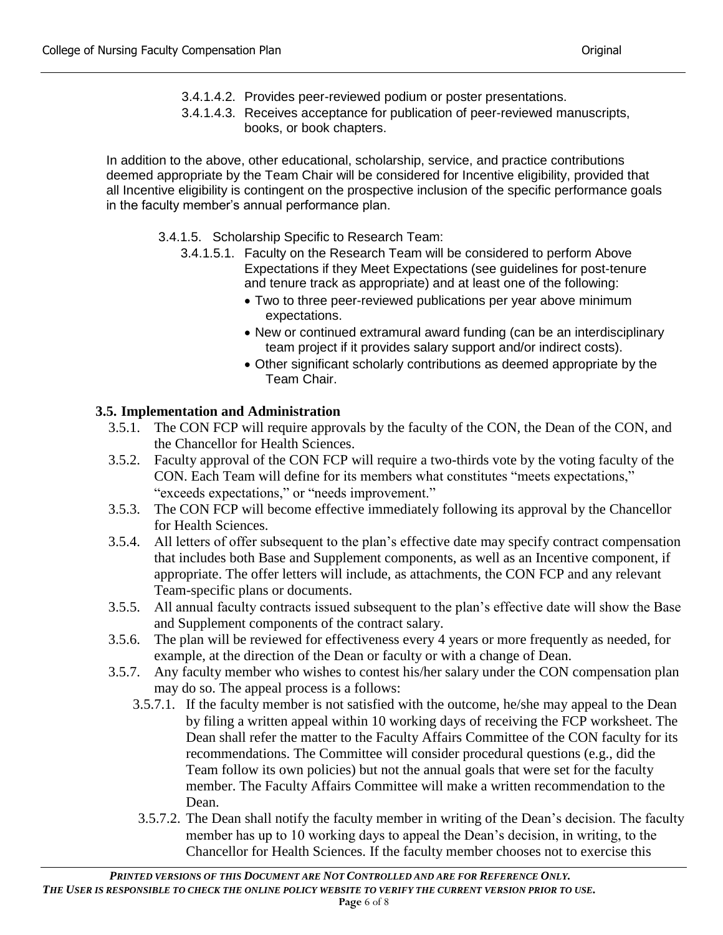- 3.4.1.4.2. Provides peer-reviewed podium or poster presentations.
- 3.4.1.4.3. Receives acceptance for publication of peer-reviewed manuscripts, books, or book chapters.

In addition to the above, other educational, scholarship, service, and practice contributions deemed appropriate by the Team Chair will be considered for Incentive eligibility, provided that all Incentive eligibility is contingent on the prospective inclusion of the specific performance goals in the faculty member's annual performance plan.

- 3.4.1.5. Scholarship Specific to Research Team:
	- 3.4.1.5.1. Faculty on the Research Team will be considered to perform Above Expectations if they Meet Expectations (see guidelines for post-tenure and tenure track as appropriate) and at least one of the following:
		- Two to three peer-reviewed publications per year above minimum expectations.
		- New or continued extramural award funding (can be an interdisciplinary team project if it provides salary support and/or indirect costs).
		- Other significant scholarly contributions as deemed appropriate by the Team Chair.

# **3.5. Implementation and Administration**

- 3.5.1. The CON FCP will require approvals by the faculty of the CON, the Dean of the CON, and the Chancellor for Health Sciences.
- 3.5.2. Faculty approval of the CON FCP will require a two-thirds vote by the voting faculty of the CON. Each Team will define for its members what constitutes "meets expectations," "exceeds expectations," or "needs improvement."
- 3.5.3. The CON FCP will become effective immediately following its approval by the Chancellor for Health Sciences.
- 3.5.4. All letters of offer subsequent to the plan's effective date may specify contract compensation that includes both Base and Supplement components, as well as an Incentive component, if appropriate. The offer letters will include, as attachments, the CON FCP and any relevant Team-specific plans or documents.
- 3.5.5. All annual faculty contracts issued subsequent to the plan's effective date will show the Base and Supplement components of the contract salary.
- 3.5.6. The plan will be reviewed for effectiveness every 4 years or more frequently as needed, for example, at the direction of the Dean or faculty or with a change of Dean.
- 3.5.7. Any faculty member who wishes to contest his/her salary under the CON compensation plan may do so. The appeal process is a follows:
	- 3.5.7.1. If the faculty member is not satisfied with the outcome, he/she may appeal to the Dean by filing a written appeal within 10 working days of receiving the FCP worksheet. The Dean shall refer the matter to the Faculty Affairs Committee of the CON faculty for its recommendations. The Committee will consider procedural questions (e.g., did the Team follow its own policies) but not the annual goals that were set for the faculty member. The Faculty Affairs Committee will make a written recommendation to the Dean.
	- 3.5.7.2. The Dean shall notify the faculty member in writing of the Dean's decision. The faculty member has up to 10 working days to appeal the Dean's decision, in writing, to the Chancellor for Health Sciences. If the faculty member chooses not to exercise this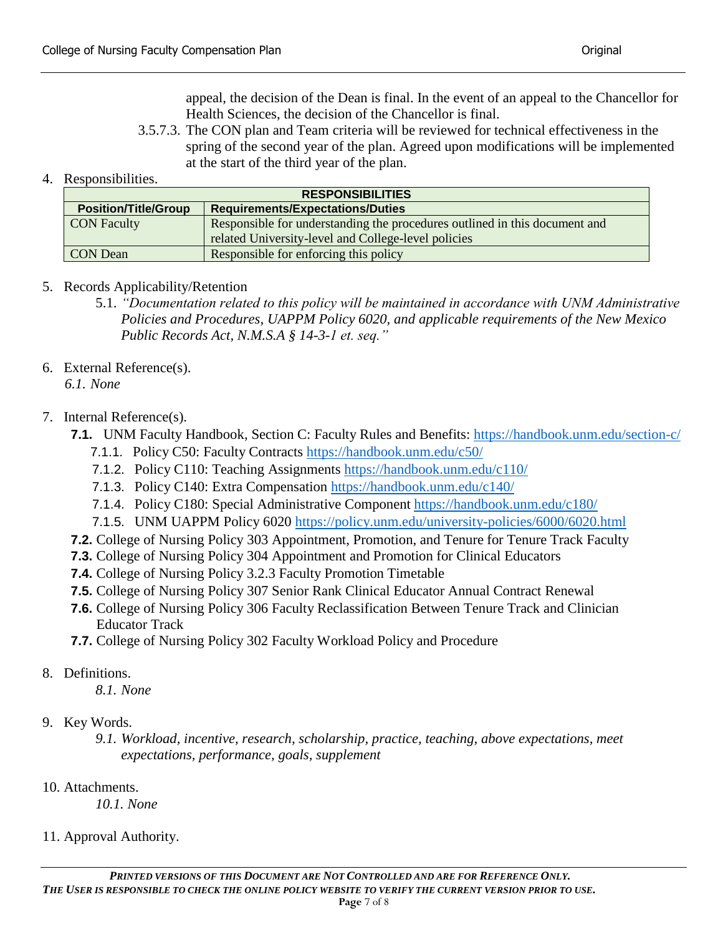appeal, the decision of the Dean is final. In the event of an appeal to the Chancellor for Health Sciences, the decision of the Chancellor is final.

3.5.7.3. The CON plan and Team criteria will be reviewed for technical effectiveness in the spring of the second year of the plan. Agreed upon modifications will be implemented at the start of the third year of the plan.

### 4. Responsibilities.

| <b>RESPONSIBILITIES</b>     |                                                                            |  |  |  |
|-----------------------------|----------------------------------------------------------------------------|--|--|--|
| <b>Position/Title/Group</b> | <b>Requirements/Expectations/Duties</b>                                    |  |  |  |
| <b>CON Faculty</b>          | Responsible for understanding the procedures outlined in this document and |  |  |  |
|                             | related University-level and College-level policies                        |  |  |  |
| CON Dean                    | Responsible for enforcing this policy                                      |  |  |  |
|                             |                                                                            |  |  |  |

### 5. Records Applicability/Retention

- 5.1. *"Documentation related to this policy will be maintained in accordance with UNM Administrative Policies and Procedures, UAPPM Policy 6020, and applicable requirements of the New Mexico Public Records Act, N.M.S.A § 14-3-1 et. seq."*
- 6. External Reference(s).

*6.1. None* 

# 7. Internal Reference(s).

- **7.1.** UNM Faculty Handbook, Section C: Faculty Rules and Benefits: <https://handbook.unm.edu/section-c/>
	- 7.1.1. Policy C50: Faculty Contracts <https://handbook.unm.edu/c50/>
	- 7.1.2. Policy C110: Teaching Assignments <https://handbook.unm.edu/c110/>
	- 7.1.3. Policy C140: Extra Compensation <https://handbook.unm.edu/c140/>
	- 7.1.4. Policy C180: Special Administrative Component <https://handbook.unm.edu/c180/>
	- 7.1.5. UNM UAPPM Policy 6020<https://policy.unm.edu/university-policies/6000/6020.html>
- **7.2.** College of Nursing Policy 303 Appointment, Promotion, and Tenure for Tenure Track Faculty
- **7.3.** College of Nursing Policy 304 Appointment and Promotion for Clinical Educators
- **7.4.** College of Nursing Policy 3.2.3 Faculty Promotion Timetable
- **7.5.** College of Nursing Policy 307 Senior Rank Clinical Educator Annual Contract Renewal
- **7.6.** College of Nursing Policy 306 Faculty Reclassification Between Tenure Track and Clinician Educator Track
- **7.7.** College of Nursing Policy 302 Faculty Workload Policy and Procedure
- 8. Definitions.

*8.1. None*

- 9. Key Words.
	- *9.1. Workload, incentive, research, scholarship, practice, teaching, above expectations, meet expectations, performance, goals, supplement*
- 10. Attachments.

*10.1. None*

11. Approval Authority.